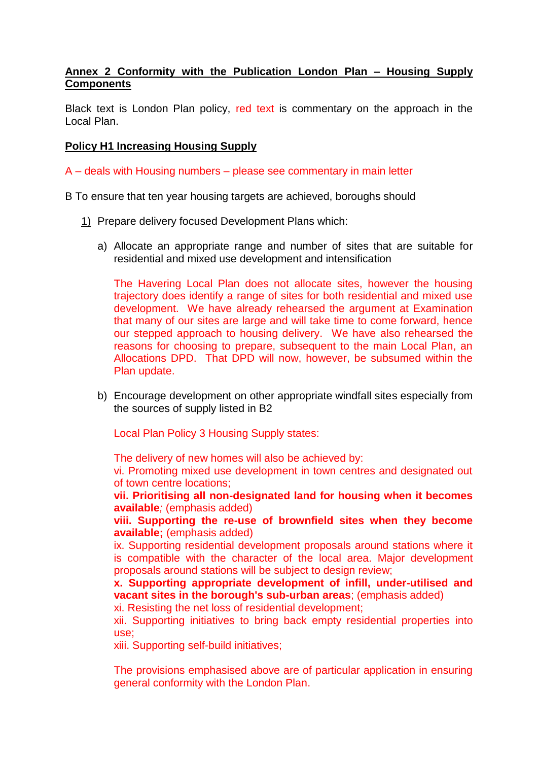## **Annex 2 Conformity with the Publication London Plan – Housing Supply Components**

Black text is London Plan policy, red text is commentary on the approach in the Local Plan.

## **Policy H1 Increasing Housing Supply**

A – deals with Housing numbers – please see commentary in main letter

B To ensure that ten year housing targets are achieved, boroughs should

- 1) Prepare delivery focused Development Plans which:
	- a) Allocate an appropriate range and number of sites that are suitable for residential and mixed use development and intensification

The Havering Local Plan does not allocate sites, however the housing trajectory does identify a range of sites for both residential and mixed use development. We have already rehearsed the argument at Examination that many of our sites are large and will take time to come forward, hence our stepped approach to housing delivery. We have also rehearsed the reasons for choosing to prepare, subsequent to the main Local Plan, an Allocations DPD. That DPD will now, however, be subsumed within the Plan update.

b) Encourage development on other appropriate windfall sites especially from the sources of supply listed in B2

Local Plan Policy 3 Housing Supply states:

The delivery of new homes will also be achieved by:

vi. Promoting mixed use development in town centres and designated out of town centre locations;

**vii. Prioritising all non-designated land for housing when it becomes available***;* (emphasis added)

**viii. Supporting the re-use of brownfield sites when they become available;** (emphasis added)

ix. Supporting residential development proposals around stations where it is compatible with the character of the local area. Major development proposals around stations will be subject to design review;

**x. Supporting appropriate development of infill, under-utilised and vacant sites in the borough's sub-urban areas**; (emphasis added)

xi. Resisting the net loss of residential development;

xii. Supporting initiatives to bring back empty residential properties into use;

xiii. Supporting self-build initiatives;

The provisions emphasised above are of particular application in ensuring general conformity with the London Plan.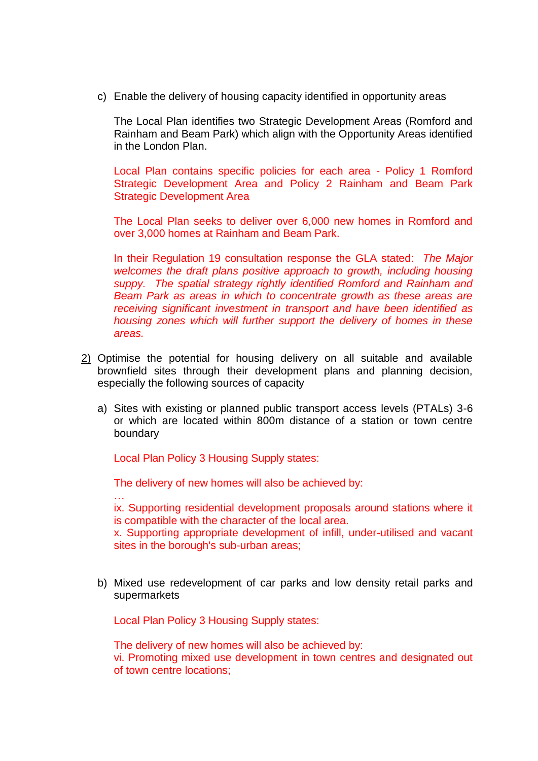c) Enable the delivery of housing capacity identified in opportunity areas

The Local Plan identifies two Strategic Development Areas (Romford and Rainham and Beam Park) which align with the Opportunity Areas identified in the London Plan.

Local Plan contains specific policies for each area - Policy 1 Romford Strategic Development Area and Policy 2 Rainham and Beam Park Strategic Development Area

The Local Plan seeks to deliver over 6,000 new homes in Romford and over 3,000 homes at Rainham and Beam Park.

In their Regulation 19 consultation response the GLA stated: *The Major welcomes the draft plans positive approach to growth, including housing suppy. The spatial strategy rightly identified Romford and Rainham and Beam Park as areas in which to concentrate growth as these areas are receiving significant investment in transport and have been identified as housing zones which will further support the delivery of homes in these areas.*

- 2) Optimise the potential for housing delivery on all suitable and available brownfield sites through their development plans and planning decision, especially the following sources of capacity
	- a) Sites with existing or planned public transport access levels (PTALs) 3-6 or which are located within 800m distance of a station or town centre boundary

Local Plan Policy 3 Housing Supply states:

…

The delivery of new homes will also be achieved by:

ix. Supporting residential development proposals around stations where it is compatible with the character of the local area.

x. Supporting appropriate development of infill, under-utilised and vacant sites in the borough's sub-urban areas;

b) Mixed use redevelopment of car parks and low density retail parks and supermarkets

Local Plan Policy 3 Housing Supply states:

The delivery of new homes will also be achieved by: vi. Promoting mixed use development in town centres and designated out of town centre locations;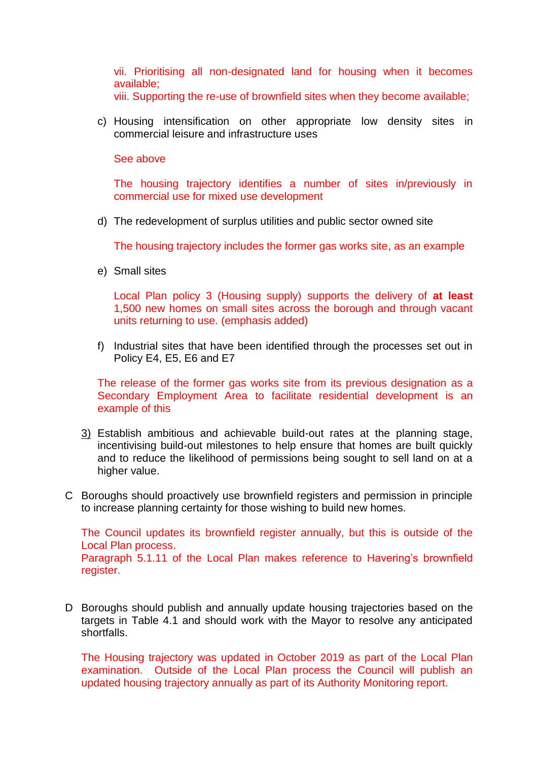vii. Prioritising all non-designated land for housing when it becomes available;

viii. Supporting the re-use of brownfield sites when they become available;

c) Housing intensification on other appropriate low density sites in commercial leisure and infrastructure uses

## See above

The housing trajectory identifies a number of sites in/previously in commercial use for mixed use development

d) The redevelopment of surplus utilities and public sector owned site

The housing trajectory includes the former gas works site, as an example

e) Small sites

Local Plan policy 3 (Housing supply) supports the delivery of **at least** 1,500 new homes on small sites across the borough and through vacant units returning to use. (emphasis added)

f) Industrial sites that have been identified through the processes set out in Policy E4, E5, E6 and E7

The release of the former gas works site from its previous designation as a Secondary Employment Area to facilitate residential development is an example of this

- 3) Establish ambitious and achievable build-out rates at the planning stage, incentivising build-out milestones to help ensure that homes are built quickly and to reduce the likelihood of permissions being sought to sell land on at a higher value.
- C Boroughs should proactively use brownfield registers and permission in principle to increase planning certainty for those wishing to build new homes.

The Council updates its brownfield register annually, but this is outside of the Local Plan process. Paragraph 5.1.11 of the Local Plan makes reference to Havering's brownfield register.

D Boroughs should publish and annually update housing trajectories based on the targets in Table 4.1 and should work with the Mayor to resolve any anticipated shortfalls.

The Housing trajectory was updated in October 2019 as part of the Local Plan examination. Outside of the Local Plan process the Council will publish an updated housing trajectory annually as part of its Authority Monitoring report.